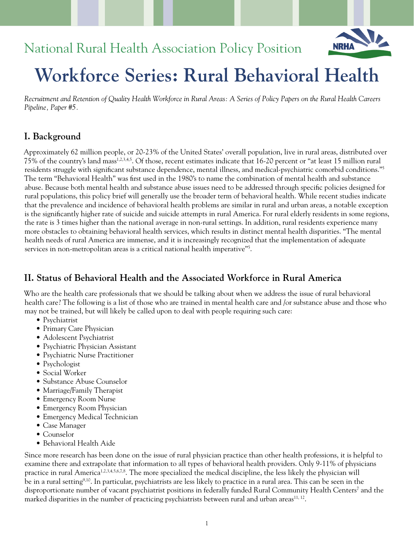# National Rural Health Association Policy Position



# **Workforce Series: Rural Behavioral Health**

*Recruitment and Retention of Quality Health Workforce in Rural Areas: A Series of Policy Papers on the Rural Health Careers Pipeline, Paper #5.*

# **I. Background**

Approximately 62 million people, or 20-23% of the United States' overall population, live in rural areas, distributed over 75% of the country's land mass1,2,3,4,5. Of those, recent estimates indicate that 16-20 percent or "at least 15 million rural residents struggle with significant substance dependence, mental illness, and medical-psychiatric comorbid conditions."5 The term "Behavioral Health" was first used in the 1980's to name the combination of mental health and substance abuse. Because both mental health and substance abuse issues need to be addressed through specific policies designed for rural populations, this policy brief will generally use the broader term of behavioral health. While recent studies indicate that the prevalence and incidence of behavioral health problems are similar in rural and urban areas, a notable exception is the significantly higher rate of suicide and suicide attempts in rural America. For rural elderly residents in some regions, the rate is 3 times higher than the national average in non-rural settings. In addition, rural residents experience many more obstacles to obtaining behavioral health services, which results in distinct mental health disparities. "The mental health needs of rural America are immense, and it is increasingly recognized that the implementation of adequate services in non-metropolitan areas is a critical national health imperative"5 .

# **II. Status of Behavioral Health and the Associated Workforce in Rural America**

Who are the health care professionals that we should be talking about when we address the issue of rural behavioral health care? The following is a list of those who are trained in mental health care and /or substance abuse and those who may not be trained, but will likely be called upon to deal with people requiring such care:

- Psychiatrist
- Primary Care Physician
- Adolescent Psychiatrist
- Psychiatric Physician Assistant
- Psychiatric Nurse Practitioner
- Psychologist
- Social Worker
- Substance Abuse Counselor
- Marriage/Family Therapist
- Emergency Room Nurse
- Emergency Room Physician
- Emergency Medical Technician
- Case Manager
- Counselor
- Behavioral Health Aide

Since more research has been done on the issue of rural physician practice than other health professions, it is helpful to examine there and extrapolate that information to all types of behavioral health providers. Only 9-11% of physicians practice in rural America<sup>1,2,3,4,5,6,7,8</sup>. The more specialized the medical discipline, the less likely the physician will be in a rural setting9,10. In particular, psychiatrists are less likely to practice in a rural area. This can be seen in the disproportionate number of vacant psychiatrist positions in federally funded Rural Community Health Centers<sup>7</sup> and the marked disparities in the number of practicing psychiatrists between rural and urban areas<sup>11,12</sup>.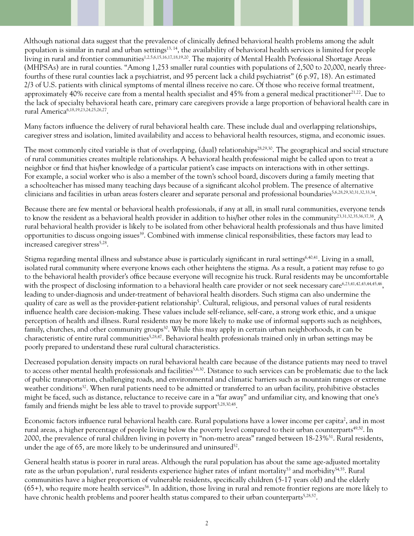Although national data suggest that the prevalence of clinically defined behavioral health problems among the adult population is similar in rural and urban settings<sup>13, 14</sup>, the availability of behavioral health services is limited for people living in rural and frontier communities<sup>1,2,5,6,15,16,17,18,19,20</sup>. The majority of Mental Health Professional Shortage Areas (MHPSAs) are in rural counties. "Among 1,253 smaller rural counties with populations of 2,500 to 20,000, nearly threefourths of these rural counties lack a psychiatrist, and 95 percent lack a child psychiatrist" (6 p.97, 18). An estimated 2/3 of U.S. patients with clinical symptoms of mental illness receive no care. Of those who receive formal treatment, approximately 40% receive care from a mental health specialist and  $45%$  from a general medical practitioner $2^{1,22}$ . Due to the lack of specialty behavioral heath care, primary care caregivers provide a large proportion of behavioral health care in rural America6,18,19,23,24,25,26,27.

Many factors influence the delivery of rural behavioral health care. These include dual and overlapping relationships, caregiver stress and isolation, limited availability and access to behavioral health resources, stigma, and economic issues.

The most commonly cited variable is that of overlapping, (dual) relationships<sup>28,29,30</sup>. The geographical and social structure of rural communities creates multiple relationships. A behavioral health professional might be called upon to treat a neighbor or find that his/her knowledge of a particular patient's case impacts on interactions with in other settings. For example, a social worker who is also a member of the town's school board, discovers during a family meeting that a schoolteacher has missed many teaching days because of a significant alcohol problem. The presence of alternative clinicians and facilities in urban areas fosters clearer and separate personal and professional boundaries5,6,28,29,30,31,32,33,34.

Because there are few mental or behavioral health professionals, if any at all, in small rural communities, everyone tends to know the resident as a behavioral health provider in addition to his/her other roles in the community<sup>23,31,32,35,36,37,38</sup>. A rural behavioral health provider is likely to be isolated from other behavioral health professionals and thus have limited opportunities to discuss ongoing issues<sup>39</sup>. Combined with immense clinical responsibilities, these factors may lead to increased caregiver stress<sup>5,28</sup>.

Stigma regarding mental illness and substance abuse is particularly significant in rural settings6,40,41. Living in a small, isolated rural community where everyone knows each other heightens the stigma. As a result, a patient may refuse to go to the behavioral health provider's office because everyone will recognize his truck. Rural residents may be uncomfortable with the prospect of disclosing information to a behavioral health care provider or not seek necessary care<sup>6,23,41,42,43,44,45,46</sup>, leading to under-diagnosis and under-treatment of behavioral health disorders. Such stigma can also undermine the quality of care as well as the provider-patient relationship<sup>5</sup>. Cultural, religious, and personal values of rural residents influence health care decision-making. These values include self-reliance, self-care, a strong work ethic, and a unique perception of health and illness. Rural residents may be more likely to make use of informal supports such as neighbors, family, churches, and other community groups<sup>30</sup>. While this may apply in certain urban neighborhoods, it can be characteristic of entire rural communities<sup>5,28,47</sup>. Behavioral health professionals trained only in urban settings may be poorly prepared to understand these rural cultural characteristics.

Decreased population density impacts on rural behavioral health care because of the distance patients may need to travel to access other mental health professionals and facilities<sup>5,6,30</sup>. Distance to such services can be problematic due to the lack of public transportation, challenging roads, and environmental and climatic barriers such as mountain ranges or extreme weather conditions<sup>32</sup>. When rural patients need to be admitted or transferred to an urban facility, prohibitive obstacles might be faced, such as distance, reluctance to receive care in a "far away" and unfamiliar city, and knowing that one's family and friends might be less able to travel to provide support<sup>5,28,30,48</sup>.

Economic factors influence rural behavioral health care. Rural populations have a lower income per capita<sup>2</sup>, and in most rural areas, a higher percentage of people living below the poverty level compared to their urban counterparts<sup>49,50</sup>. In 2000, the prevalence of rural children living in poverty in "non-metro areas" ranged between 18-23%<sup>51</sup>. Rural residents, under the age of 65, are more likely to be underinsured and uninsured<sup>52</sup>.

General health status is poorer in rural areas. Although the rural population has about the same age-adjusted mortality rate as the urban population<sup>1</sup>, rural residents experience higher rates of infant mortality<sup>53</sup> and morbidity<sup>54,55</sup>. Rural communities have a higher proportion of vulnerable residents, specifically children (5-17 years old) and the elderly  $(65+)$ , who require more health services<sup>56</sup>. In addition, those living in rural and remote frontier regions are more likely to have chronic health problems and poorer health status compared to their urban counterparts<sup>5,28,57</sup>.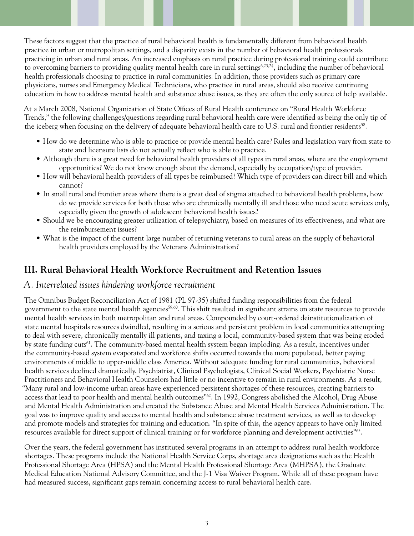These factors suggest that the practice of rural behavioral health is fundamentally different from behavioral health practice in urban or metropolitan settings, and a disparity exists in the number of behavioral health professionals practicing in urban and rural areas. An increased emphasis on rural practice during professional training could contribute to overcoming barriers to providing quality mental health care in rural settings<sup>6,23,24</sup>, including the number of behavioral health professionals choosing to practice in rural communities. In addition, those providers such as primary care physicians, nurses and Emergency Medical Technicians, who practice in rural areas, should also receive continuing education in how to address mental health and substance abuse issues, as they are often the only source of help available.

At a March 2008, National Organization of State Offices of Rural Health conference on "Rural Health Workforce Trends," the following challenges/questions regarding rural behavioral health care were identified as being the only tip of the iceberg when focusing on the delivery of adequate behavioral health care to U.S. rural and frontier residents<sup>58</sup>.

- How do we determine who is able to practice or provide mental health care? Rules and legislation vary from state to state and licensure lists do not actually reflect who is able to practice.
- Although there is a great need for behavioral health providers of all types in rural areas, where are the employment opportunities? We do not know enough about the demand, especially by occupation/type of provider.
- How will behavioral health providers of all types be reimbursed? Which type of providers can direct bill and which cannot?
- In small rural and frontier areas where there is a great deal of stigma attached to behavioral health problems, how do we provide services for both those who are chronically mentally ill and those who need acute services only, especially given the growth of adolescent behavioral health issues?
- Should we be encouraging greater utilization of telepsychiatry, based on measures of its effectiveness, and what are the reimbursement issues?
- What is the impact of the current large number of returning veterans to rural areas on the supply of behavioral health providers employed by the Veterans Administration?

# **III. Rural Behavioral Health Workforce Recruitment and Retention Issues**

#### *A. Interrelated issues hindering workforce recruitment*

The Omnibus Budget Reconciliation Act of 1981 (PL 97-35) shifted funding responsibilities from the federal government to the state mental health agencies<sup>59,60</sup>. This shift resulted in significant strains on state resources to provide mental health services in both metropolitan and rural areas. Compounded by court-ordered deinstitutionalization of state mental hospitals resources dwindled, resulting in a serious and persistent problem in local communities attempting to deal with severe, chronically mentally ill patients, and taxing a local, community-based system that was being eroded by state funding cuts<sup>61</sup>. The community-based mental health system began imploding. As a result, incentives under the community-based system evaporated and workforce shifts occurred towards the more populated, better paying environments of middle to upper-middle class America. Without adequate funding for rural communities, behavioral health services declined dramatically. Psychiatrist, Clinical Psychologists, Clinical Social Workers, Psychiatric Nurse Practitioners and Behavioral Health Counselors had little or no incentive to remain in rural environments. As a result, "Many rural and low-income urban areas have experienced persistent shortages of these resources, creating barriers to access that lead to poor health and mental health outcomes"62. In 1992, Congress abolished the Alcohol, Drug Abuse and Mental Health Administration and created the Substance Abuse and Mental Health Services Administration. The goal was to improve quality and access to mental health and substance abuse treatment services, as well as to develop and promote models and strategies for training and education. "In spite of this, the agency appears to have only limited resources available for direct support of clinical training or for workforce planning and development activities"63.

Over the years, the federal government has instituted several programs in an attempt to address rural health workforce shortages. These programs include the National Health Service Corps, shortage area designations such as the Health Professional Shortage Area (HPSA) and the Mental Health Professional Shortage Area (MHPSA), the Graduate Medical Education National Advisory Committee, and the J-1 Visa Waiver Program. While all of these program have had measured success, significant gaps remain concerning access to rural behavioral health care.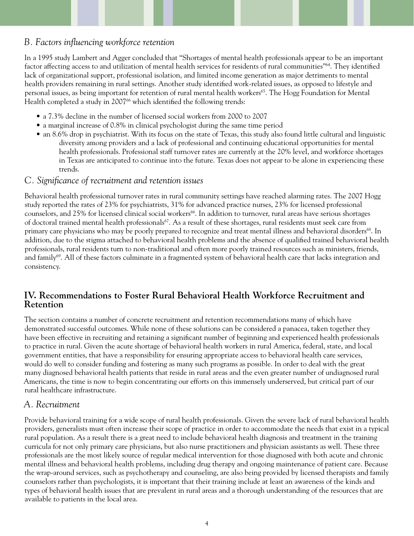## *B. Factors influencing workforce retention*

In a 1995 study Lambert and Agger concluded that "Shortages of mental health professionals appear to be an important factor affecting access to and utilization of mental health services for residents of rural communities"64. They identified lack of organizational support, professional isolation, and limited income generation as major detriments to mental health providers remaining in rural settings. Another study identified work-related issues, as opposed to lifestyle and personal issues, as being important for retention of rural mental health workers<sup>65</sup>. The Hogg Foundation for Mental Health completed a study in 2007<sup>66</sup> which identified the following trends:

- a 7.3% decline in the number of licensed social workers from 2000 to 2007
- a marginal increase of 0.8% in clinical psychologist during the same time period
- an 8.6% drop in psychiatrist. With its focus on the state of Texas, this study also found little cultural and linguistic diversity among providers and a lack of professional and continuing educational opportunities for mental health professionals. Professional staff turnover rates are currently at the 20% level, and workforce shortages in Texas are anticipated to continue into the future. Texas does not appear to be alone in experiencing these trends.

#### *C. Significance of recruitment and retention issues*

Behavioral health professional turnover rates in rural community settings have reached alarming rates. The 2007 Hogg study reported the rates of 23% for psychiatrists, 31% for advanced practice nurses, 23% for licensed professional counselors, and 25% for licensed clinical social workers<sup>66</sup>. In addition to turnover, rural areas have serious shortages of doctoral trained mental health professionals<sup>67</sup>. As a result of these shortages, rural residents must seek care from primary care physicians who may be poorly prepared to recognize and treat mental illness and behavioral disorders<sup>68</sup>. In addition, due to the stigma attached to behavioral health problems and the absence of qualified trained behavioral health professionals, rural residents turn to non-traditional and often more poorly trained resources such as ministers, friends, and family<sup>69</sup>. All of these factors culminate in a fragmented system of behavioral health care that lacks integration and consistency.

#### **IV. Recommendations to Foster Rural Behavioral Health Workforce Recruitment and Retention**

The section contains a number of concrete recruitment and retention recommendations many of which have demonstrated successful outcomes. While none of these solutions can be considered a panacea, taken together they have been effective in recruiting and retaining a significant number of beginning and experienced health professionals to practice in rural. Given the acute shortage of behavioral health workers in rural America, federal, state, and local government entities, that have a responsibility for ensuring appropriate access to behavioral health care services, would do well to consider funding and fostering as many such programs as possible. In order to deal with the great many diagnosed behavioral health patients that reside in rural areas and the even greater number of undiagnosed rural Americans, the time is now to begin concentrating our efforts on this immensely underserved, but critical part of our rural healthcare infrastructure.

#### *A. Recruitment*

Provide behavioral training for a wide scope of rural health professionals. Given the severe lack of rural behavioral health providers, generalists must often increase their scope of practice in order to accommodate the needs that exist in a typical rural population. As a result there is a great need to include behavioral health diagnosis and treatment in the training curricula for not only primary care physicians, but also nurse practitioners and physician assistants as well. These three professionals are the most likely source of regular medical intervention for those diagnosed with both acute and chronic mental illness and behavioral health problems, including drug therapy and ongoing maintenance of patient care. Because the wrap-around services, such as psychotherapy and counseling, are also being provided by licensed therapists and family counselors rather than psychologists, it is important that their training include at least an awareness of the kinds and types of behavioral health issues that are prevalent in rural areas and a thorough understanding of the resources that are available to patients in the local area.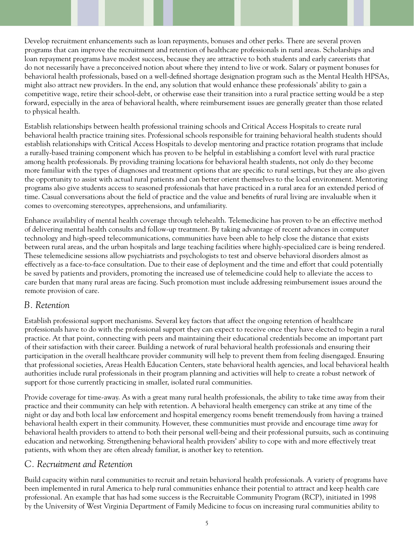Develop recruitment enhancements such as loan repayments, bonuses and other perks. There are several proven programs that can improve the recruitment and retention of healthcare professionals in rural areas. Scholarships and loan repayment programs have modest success, because they are attractive to both students and early careerists that do not necessarily have a preconceived notion about where they intend to live or work. Salary or payment bonuses for behavioral health professionals, based on a well-defined shortage designation program such as the Mental Health HPSAs, might also attract new providers. In the end, any solution that would enhance these professionals' ability to gain a competitive wage, retire their school-debt, or otherwise ease their transition into a rural practice setting would be a step forward, especially in the area of behavioral health, where reimbursement issues are generally greater than those related to physical health.

Establish relationships between health professional training schools and Critical Access Hospitals to create rural behavioral health practice training sites. Professional schools responsible for training behavioral health students should establish relationships with Critical Access Hospitals to develop mentoring and practice rotation programs that include a rurally-based training component which has proven to be helpful in establishing a comfort level with rural practice among health professionals. By providing training locations for behavioral health students, not only do they become more familiar with the types of diagnoses and treatment options that are specific to rural settings, but they are also given the opportunity to assist with actual rural patients and can better orient themselves to the local environment. Mentoring programs also give students access to seasoned professionals that have practiced in a rural area for an extended period of time. Casual conversations about the field of practice and the value and benefits of rural living are invaluable when it comes to overcoming stereotypes, apprehensions, and unfamiliarity.

Enhance availability of mental health coverage through telehealth. Telemedicine has proven to be an effective method of delivering mental health consults and follow-up treatment. By taking advantage of recent advances in computer technology and high-speed telecommunications, communities have been able to help close the distance that exists between rural areas, and the urban hospitals and large teaching facilities where highly-specialized care is being rendered. These telemedicine sessions allow psychiatrists and psychologists to test and observe behavioral disorders almost as effectively as a face-to-face consultation. Due to their ease of deployment and the time and effort that could potentially be saved by patients and providers, promoting the increased use of telemedicine could help to alleviate the access to care burden that many rural areas are facing. Such promotion must include addressing reimbursement issues around the remote provision of care.

#### *B. Retention*

Establish professional support mechanisms. Several key factors that affect the ongoing retention of healthcare professionals have to do with the professional support they can expect to receive once they have elected to begin a rural practice. At that point, connecting with peers and maintaining their educational credentials become an important part of their satisfaction with their career. Building a network of rural behavioral health professionals and ensuring their participation in the overall healthcare provider community will help to prevent them from feeling disengaged. Ensuring that professional societies, Areas Health Education Centers, state behavioral health agencies, and local behavioral health authorities include rural professionals in their program planning and activities will help to create a robust network of support for those currently practicing in smaller, isolated rural communities.

Provide coverage for time-away. As with a great many rural health professionals, the ability to take time away from their practice and their community can help with retention. A behavioral health emergency can strike at any time of the night or day and both local law enforcement and hospital emergency rooms benefit tremendously from having a trained behavioral health expert in their community. However, these communities must provide and encourage time away for behavioral health providers to attend to both their personal well-being and their professional pursuits, such as continuing education and networking. Strengthening behavioral health providers' ability to cope with and more effectively treat patients, with whom they are often already familiar, is another key to retention.

#### *C. Recruitment and Retention*

Build capacity within rural communities to recruit and retain behavioral health professionals. A variety of programs have been implemented in rural America to help rural communities enhance their potential to attract and keep health care professional. An example that has had some success is the Recruitable Community Program (RCP), initiated in 1998 by the University of West Virginia Department of Family Medicine to focus on increasing rural communities ability to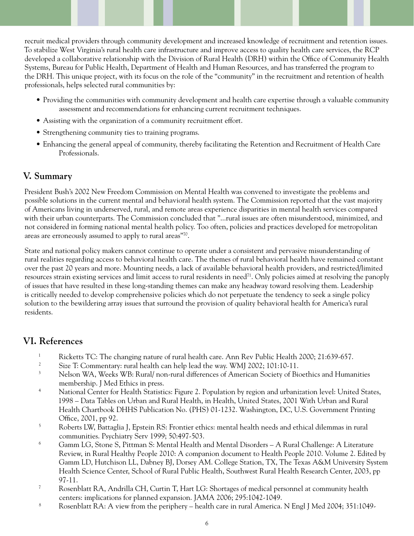recruit medical providers through community development and increased knowledge of recruitment and retention issues. To stabilize West Virginia's rural health care infrastructure and improve access to quality health care services, the RCP developed a collaborative relationship with the Division of Rural Health (DRH) within the Office of Community Health Systems, Bureau for Public Health, Department of Health and Human Resources, and has transferred the program to the DRH. This unique project, with its focus on the role of the "community" in the recruitment and retention of health professionals, helps selected rural communities by:

- Providing the communities with community development and health care expertise through a valuable community assessment and recommendations for enhancing current recruitment techniques.
- Assisting with the organization of a community recruitment effort.
- Strengthening community ties to training programs.
- Enhancing the general appeal of community, thereby facilitating the Retention and Recruitment of Health Care Professionals.

#### **V. Summary**

President Bush's 2002 New Freedom Commission on Mental Health was convened to investigate the problems and possible solutions in the current mental and behavioral health system. The Commission reported that the vast majority of Americans living in underserved, rural, and remote areas experience disparities in mental health services compared with their urban counterparts. The Commission concluded that "...rural issues are often misunderstood, minimized, and not considered in forming national mental health policy. Too often, policies and practices developed for metropolitan areas are erroneously assumed to apply to rural areas"70.

State and national policy makers cannot continue to operate under a consistent and pervasive misunderstanding of rural realities regarding access to behavioral health care. The themes of rural behavioral health have remained constant over the past 20 years and more. Mounting needs, a lack of available behavioral health providers, and restricted/limited resources strain existing services and limit access to rural residents in need<sup>71</sup>. Only policies aimed at resolving the panoply of issues that have resulted in these long-standing themes can make any headway toward resolving them. Leadership is critically needed to develop comprehensive policies which do not perpetuate the tendency to seek a single policy solution to the bewildering array issues that surround the provision of quality behavioral health for America's rural residents.

### **VI. References**

- 1 Ricketts TC: The changing nature of rural health care. Ann Rev Public Health 2000; 21:639-657.
- 2 Size T: Commentary: rural health can help lead the way. WMJ 2002; 101:10-11.
- 3 Nelson WA, Weeks WB: Rural/ non-rural differences of American Society of Bioethics and Humanities membership. J Med Ethics in press.
- 4 National Center for Health Statistics: Figure 2. Population by region and urbanization level: United States, 1998 – Data Tables on Urban and Rural Health, in Health, United States, 2001 With Urban and Rural Health Chartbook DHHS Publication No. (PHS) 01-1232. Washington, DC, U.S. Government Printing Office, 2001, pp 92.
- 5 Roberts LW, Battaglia J, Epstein RS: Frontier ethics: mental health needs and ethical dilemmas in rural communities. Psychiatry Serv 1999; 50:497-503.
- 6 Gamm LG, Stone S, Pittman S: Mental Health and Mental Disorders – A Rural Challenge: A Literature Review, in Rural Healthy People 2010: A companion document to Health People 2010. Volume 2. Edited by Gamm LD, Hutchison LL, Dabney BJ, Dorsey AM. College Station, TX, The Texas A&M University System Health Science Center, School of Rural Public Health, Southwest Rural Health Research Center, 2003, pp 97-11.
- 7 Rosenblatt RA, Andrilla CH, Curtin T, Hart LG: Shortages of medical personnel at community health centers: implications for planned expansion. JAMA 2006; 295:1042-1049.
- 8 Rosenblatt RA: A view from the periphery – health care in rural America. N Engl J Med 2004; 351:1049-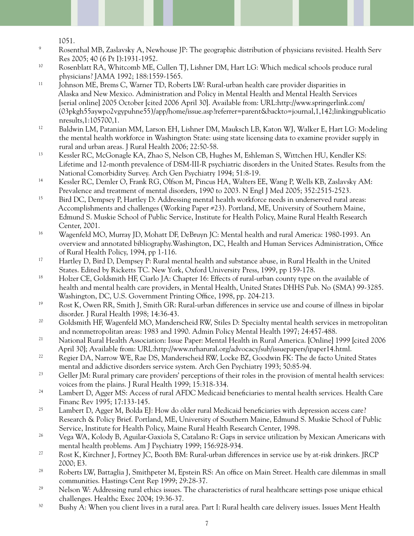1051.

- 9 Rosenthal MB, Zaslavsky A, Newhouse JP: The geographic distribution of physicians revisited. Health Serv Res 2005; 40 (6 Pt I):1931-1952.
- 10 Rosenblatt RA, Whitcomb ME, Cullen TJ, Lishner DM, Hart LG: Which medical schools produce rural physicians? JAMA 1992; 188:1559-1565.
- <sup>11</sup> Johnson ME, Brems C, Warner TD, Roberts LW: Rural-urban health care provider disparities in Alaska and New Mexico. Administration and Policy in Mental Health and Mental Health Services [serial online] 2005 October [cited 2006 April 30]. Available from: URL:http://www.springerlink.com/ (03pkgh55aywpo2vgypuhne55)/app/home/issue.asp?referrer=parent&backto=journal,1,142;linkingpublicatio nresults,1:105700,1.
- 12 Baldwin LM, Patanian MM, Larson EH, Lishner DM, Mauksch LB, Katon WJ, Walker E, Hart LG: Modeling the mental health workforce in Washington State: using state licensing data to examine provider supply in rural and urban areas. J Rural Health 2006; 22:50-58.
- 13 Kessler RC, McGonagle KA, Zhao S, Nelson CB, Hughes M, Eshleman S, Wittchen HU, Kendler KS: Lifetime and 12-month prevalence of DSM-III-R psychiatric disorders in the United States. Results from the National Comorbidity Survey. Arch Gen Psychiatry 1994; 51:8-19.
- 14 Kessler RC, Demler O, Frank RG, Olfson M, Pincus HA, Walters EE, Wang P, Wells KB, Zaslavsky AM: Prevalence and treatment of mental disorders, 1990 to 2003. N Engl J Med 2005; 352:2515-2523.
- <sup>15</sup> Bird DC, Dempsey P, Hartley D: Addressing mental health workforce needs in underserved rural areas: Accomplishments and challenges (Working Paper #23). Portland, ME, University of Southern Maine, Edmund S. Muskie School of Public Service, Institute for Health Policy, Maine Rural Health Research Center, 2001.
- 16 Wagenfeld MO, Murray JD, Mohatt DF, DeBruyn JC: Mental health and rural America: 1980-1993. An overview and annotated bibliography.Washington, DC, Health and Human Services Administration, Office of Rural Health Policy, 1994, pp 1-116.
- 17 Hartley D, Bird D, Dempsey P: Rural mental health and substance abuse, in Rural Health in the United States. Edited by Ricketts TC. New York, Oxford University Press, 1999, pp 159-178.
- <sup>18</sup> Holzer CE, Goldsmith HF, Ciarlo JA: Chapter 16: Effects of rural-urban county type on the available of health and mental health care providers, in Mental Health, United States DHHS Pub. No (SMA) 99-3285. Washington, DC, U.S. Government Printing Office, 1998, pp. 204-213.
- 19 Rost K, Owen RR, Smith J, Smith GR: Rural-urban differences in service use and course of illness in bipolar disorder. J Rural Health 1998; 14:36-43.
- <sup>20</sup> Goldsmith HF, Wagenfeld MO, Manderscheid RW, Stiles D: Specialty mental health services in metropolitan and nonmetropolitan areas: 1983 and 1990. Admin Policy Mental Health 1997; 24:457-488.
- 21 National Rural Health Association: Issue Paper: Mental Health in Rural America. [Online] 1999 [cited 2006 April 30]; Available from: URL:http://www.nrharural.org/advocacy/sub/issuepapers/ipaper14.html.
- <sup>22</sup> Regier DA, Narrow WE, Rae DS, Manderscheid RW, Locke BZ, Goodwin FK: The de facto United States mental and addictive disorders service system. Arch Gen Psychiatry 1993; 50:85-94.
- <sup>23</sup> Geller JM: Rural primary care providers' perceptions of their roles in the provision of mental health services: voices from the plains. J Rural Health 1999; 15:318-334.
- <sup>24</sup> Lambert D, Agger MS: Access of rural AFDC Medicaid beneficiaries to mental health services. Health Care Financ Rev 1995; 17:133-145.
- <sup>25</sup> Lambert D, Agger M, Bolda EJ: How do older rural Medicaid beneficiaries with depression access care? Research & Policy Brief. Portland, ME, University of Southern Maine, Edmund S. Muskie School of Public Service, Institute for Health Policy, Maine Rural Health Research Center, 1998.
- <sup>26</sup> Vega WA, Kolody B, Aguilar-Gaxiola S, Catalano R: Gaps in service utilization by Mexican Americans with mental health problems. Am J Psychiatry 1999; 156:928-934.
- 27 Rost K, Kirchner J, Fortney JC, Booth BM: Rural-urban differences in service use by at-risk drinkers. JRCP 2000; E3.
- <sup>28</sup> Roberts LW, Battaglia J, Smithpeter M, Epstein RS: An office on Main Street. Health care dilemmas in small communities. Hastings Cent Rep 1999; 29:28-37.
- <sup>29</sup> Nelson W: Addressing rural ethics issues. The characteristics of rural healthcare settings pose unique ethical challenges. Healthc Exec 2004; 19:36-37.
- <sup>30</sup> Bushy A: When you client lives in a rural area. Part I: Rural health care delivery issues. Issues Ment Health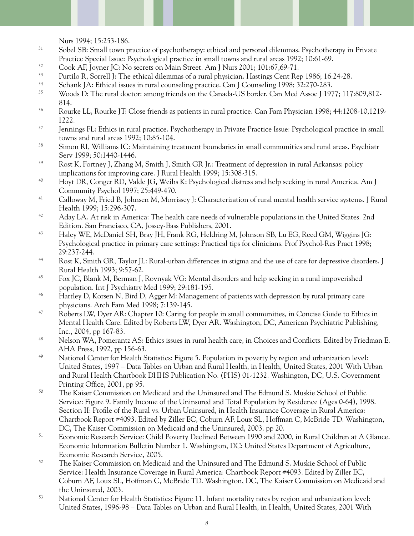Nurs 1994; 15:253-186.

- <sup>31</sup> Sobel SB: Small town practice of psychotherapy: ethical and personal dilemmas. Psychotherapy in Private Practice Special Issue: Psychological practice in small towns and rural areas 1992; 10:61-69.
- <sup>32</sup> Cook AF, Joyner JC: No secrets on Main Street. Am J Nurs 2001; 101:67,69-71.
- <sup>33</sup> Purtilo R, Sorrell J: The ethical dilemmas of a rural physician. Hastings Cent Rep 1986; 16:24-28.
- 34 Schank JA: Ethical issues in rural counseling practice. Can J Counseling 1998; 32:270-283.
- <sup>35</sup> Woods D: The rural doctor: among friends on the Canada-US border. Can Med Assoc J 1977; 117:809,812-814.
- <sup>36</sup> Rourke LL, Rourke JT: Close friends as patients in rural practice. Can Fam Physician 1998; 44:1208-10,1219-1222.
- <sup>37</sup> Jennings FL: Ethics in rural practice. Psychotherapy in Private Practice Issue: Psychological practice in small towns and rural areas 1992; 10:85-104.
- <sup>38</sup> Simon RI, Williams IC: Maintaining treatment boundaries in small communities and rural areas. Psychiatr Serv 1999; 50:1440-1446.
- 39 Rost K, Fortney J, Zhang M, Smith J, Smith GR Jr.: Treatment of depression in rural Arkansas: policy implications for improving care. J Rural Health 1999; 15:308-315.
- 40 Hoyt DR, Conger RD, Valde JG, Weihs K: Psychological distress and help seeking in rural America. Am J Community Psychol 1997; 25:449-470.
- 41 Calloway M, Fried B, Johnsen M, Morrissey J: Characterization of rural mental health service systems. J Rural Health 1999; 15:296-307.
- <sup>42</sup> Aday LA. At risk in America: The health care needs of vulnerable populations in the United States. 2nd Edition. San Francisco, CA, Jossey-Bass Publishers, 2001.
- 43 Haley WE, McDaniel SH, Bray JH, Frank RG, Heldring M, Johnson SB, Lu EG, Reed GM, Wiggins JG: Psychological practice in primary care settings: Practical tips for clinicians. Prof Psychol-Res Pract 1998; 29:237-244.
- 44 Rost K, Smith GR, Taylor JL: Rural-urban differences in stigma and the use of care for depressive disorders. J Rural Health 1993; 9:57-62.
- 45 Fox JC, Blank M, Berman J, Rovnyak VG: Mental disorders and help seeking in a rural impoverished population. Int J Psychiatry Med 1999; 29:181-195.
- <sup>46</sup> Hartley D, Korsen N, Bird D, Agger M: Management of patients with depression by rural primary care physicians. Arch Fam Med 1998; 7:139-145.
- 47 Roberts LW, Dyer AR: Chapter 10: Caring for people in small communities, in Concise Guide to Ethics in Mental Health Care. Edited by Roberts LW, Dyer AR. Washington, DC, American Psychiatric Publishing, Inc., 2004, pp 167-83.
- <sup>48</sup> Nelson WA, Pomerantz AS: Ethics issues in rural health care, in Choices and Conflicts. Edited by Friedman E. AHA Press, 1992, pp 156-63.
- 49 National Center for Health Statistics: Figure 5. Population in poverty by region and urbanization level: United States, 1997 – Data Tables on Urban and Rural Health, in Health, United States, 2001 With Urban and Rural Health Chartbook DHHS Publication No. (PHS) 01-1232. Washington, DC, U.S. Government Printing Office, 2001, pp 95.
- 50 The Kaiser Commission on Medicaid and the Uninsured and The Edmund S. Muskie School of Public Service: Figure 9. Family Income of the Uninsured and Total Population by Residence (Ages 0-64), 1998. Section II: Profile of the Rural vs. Urban Uninsured, in Health Insurance Coverage in Rural America: Chartbook Report #4093. Edited by Ziller EC, Coburn AF, Loux SL, Hoffman C, McBride TD. Washington, DC, The Kaiser Commission on Medicaid and the Uninsured, 2003. pp 20.
- 51 Economic Research Service: Child Poverty Declined Between 1990 and 2000, in Rural Children at A Glance. Economic Information Bulletin Number 1. Washington, DC: United States Department of Agriculture, Economic Research Service, 2005.
- <sup>52</sup> The Kaiser Commission on Medicaid and the Uninsured and The Edmund S. Muskie School of Public Service: Health Insurance Coverage in Rural America: Chartbook Report #4093. Edited by Ziller EC, Coburn AF, Loux SL, Hoffman C, McBride TD. Washington, DC, The Kaiser Commission on Medicaid and the Uninsured, 2003.
- 53 National Center for Health Statistics: Figure 11. Infant mortality rates by region and urbanization level: United States, 1996-98 – Data Tables on Urban and Rural Health, in Health, United States, 2001 With